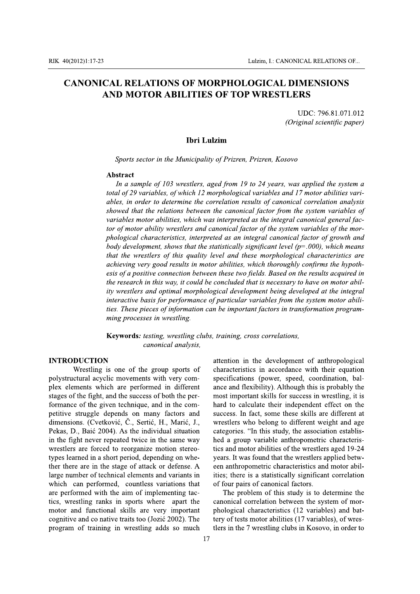# **CANONICAL RELATIONS OF MORPHOLOGICAL DIMENSIONS AND MOTOR ABILITIES OF TOP WRESTLERS**

UDC: 796.81.071.012 (Original scientific paper)

### **Ibri Lulzim**

Sports sector in the Municipality of Prizren, Prizren, Kosovo

### **Abstract**

In a sample of 103 wrestlers, aged from 19 to 24 years, was applied the system a total of 29 variables, of which 12 morphological variables and 17 motor abilities variables, in order to determine the correlation results of canonical correlation analysis showed that the relations between the canonical factor from the system variables of variables motor abilities, which was interpreted as the integral canonical general factor of motor ability wrestlers and canonical factor of the system variables of the morphological characteristics, interpreted as an integral canonical factor of growth and body development, shows that the statistically significant level ( $p=0.00$ ), which means that the wrestlers of this quality level and these morphological characteristics are achieving very good results in motor abilities, which thoroughly confirms the hypothesis of a positive connection between these two fields. Based on the results acquired in the research in this way, it could be concluded that is necessary to have on motor ability wrestlers and optimal morphological development being developed at the integral interactive basis for performance of particular variables from the system motor abilities. These pieces of information can be important factors in transformation programming processes in wrestling.

Keywords: testing, wrestling clubs, training, cross correlations, canonical analysis.

## **INTRODUCTION**

Wrestling is one of the group sports of polystructural acyclic movements with very complex elements which are performed in different stages of the fight, and the success of both the performance of the given technique, and in the competitive struggle depends on many factors and dimensions. (Cvetković, Č., Sertić, H., Marić, J., Pekas, D., Baić 2004). As the individual situation in the fight never repeated twice in the same way wrestlers are forced to reorganize motion stereotypes learned in a short period, depending on whether there are in the stage of attack or defense. A large number of technical elements and variants in which can performed, countless variations that are performed with the aim of implementing tactics, wrestling ranks in sports where apart the motor and functional skills are very important cognitive and co native traits too (Jozić 2002). The program of training in wrestling adds so much

attention in the development of anthropological characteristics in accordance with their equation specifications (power, speed, coordination, balance and flexibility). Although this is probably the most important skills for success in wrestling, it is hard to calculate their independent effect on the success. In fact, some these skills are different at wrestlers who belong to different weight and age categories. "In this study, the association established a group variable anthropometric characteristics and motor abilities of the wrestlers aged 19-24 years. It was found that the wrestlers applied between anthropometric characteristics and motor abilities; there is a statistically significant correlation of four pairs of canonical factors.

The problem of this study is to determine the canonical correlation between the system of morphological characteristics (12 variables) and battery of tests motor abilities (17 variables), of wrestlers in the 7 wrestling clubs in Kosovo, in order to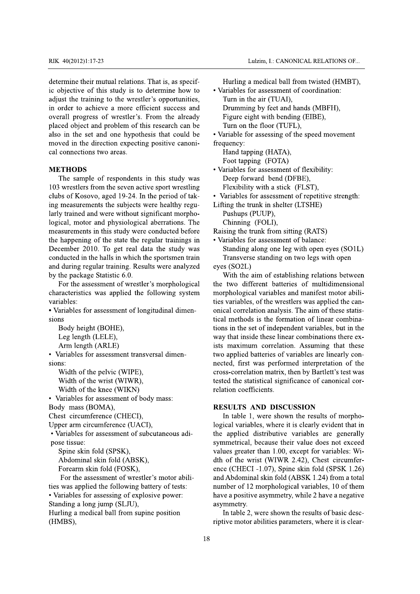determine their mutual relations. That is, as specific objective of this study is to determine how to adjust the training to the wrestler's opportunities, in order to achieve a more efficient success and overall progress of wrestler's. From the already placed object and problem of this research can be also in the set and one hypothesis that could be moved in the direction expecting positive canonical connections two areas.

# **METHODS**

The sample of respondents in this study was 103 wrestlers from the seven active sport wrestling clubs of Kosovo, aged 19-24. In the period of taking measurements the subjects were healthy regularly trained and were without significant morphological, motor and physiological aberrations. The measurements in this study were conducted before the happening of the state the regular trainings in December 2010. To get real data the study was conducted in the halls in which the sportsmen train and during regular training. Results were analyzed by the package Statistic 6.0.

For the assessment of wrestler's morphological characteristics was applied the following system variables:

• Variables for assessment of longitudinal dimensions

Body height (BOHE),

Leg length (LELE),

Arm length (ARLE)

• Variables for assessment transversal dimensions:

Width of the pelvic (WIPE),

Width of the wrist (WIWR),

Width of the knee (WIKN)

• Variables for assessment of body mass:

Body mass (BOMA),

Chest circumference (CHECI),

Upper arm circumference (UACI),

• Variables for assessment of subcutaneous adipose tissue:

Spine skin fold (SPSK), Abdominal skin fold (ABSK),

Forearm skin fold (FOSK),

For the assessment of wrestler's motor abilities was applied the following battery of tests: • Variables for assessing of explosive power: Standing a long jump (SLJU), Hurling a medical ball from supine position (HMBS),

Hurling a medical ball from twisted (HMBT),

• Variables for assessment of coordination: Turn in the air (TUAI). Drumming by feet and hands (MBFH), Figure eight with bending (EIBE), Turn on the floor (TUFL),

• Variable for assessing of the speed movement frequency:

Hand tapping (HATA),

Foot tapping (FOTA)

· Variables for assessment of flexibility: Deep forward bend (DFBE), Flexibility with a stick (FLST),

• Variables for assessment of repetitive strength:

Lifting the trunk in shelter (LTSHE)

Pushups (PUUP).

Chinning (FOLI),

Raising the trunk from sitting (RATS)

• Variables for assessment of balance: Standing along one leg with open eyes (SO1L) Transverse standing on two legs with open eyes (SO2L)

With the aim of establishing relations between the two different batteries of multidimensional morphological variables and manifest motor abilities variables, of the wrestlers was applied the canonical correlation analysis. The aim of these statistical methods is the formation of linear combinations in the set of independent variables, but in the way that inside these linear combinations there exists maximum correlation. Assuming that these two applied batteries of variables are linearly connected, first was performed interpretation of the cross-correlation matrix, then by Bartlett's test was tested the statistical significance of canonical correlation coefficients.

# **RESULTS AND DISCUSSION**

In table 1, were shown the results of morphological variables, where it is clearly evident that in the applied distributive variables are generally symmetrical, because their value does not exceed values greater than 1.00, except for variables: Width of the wrist (WIWR 2.42), Chest circumference (CHECI -1.07), Spine skin fold (SPSK 1.26) and Abdominal skin fold (ABSK 1.24) from a total number of 12 morphological variables, 10 of them have a positive asymmetry, while 2 have a negative asymmetry.

In table 2, were shown the results of basic descriptive motor abilities parameters, where it is clear-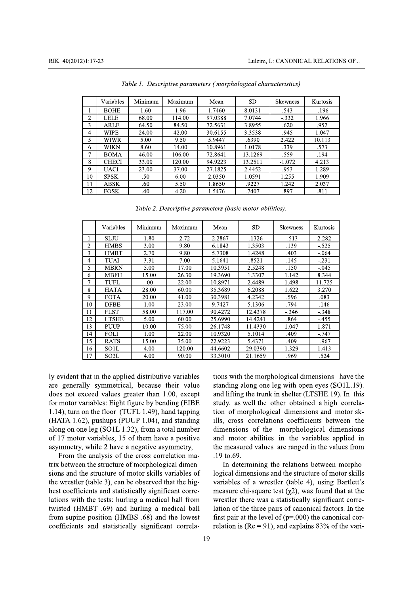|                | Variables    | Minimum | Maximum | Mean    | <b>SD</b> | <b>Skewness</b> | Kurtosis |
|----------------|--------------|---------|---------|---------|-----------|-----------------|----------|
|                | <b>BOHE</b>  | 1.60    | 1.96    | 1.7460  | 8.0131    | .543            | $-196$   |
| $\overline{c}$ | <b>LELE</b>  | 68.00   | 114.00  | 97.0388 | 7.0744    | $-332$          | 1.966    |
| 3              | ARLE         | 64.50   | 84.50   | 72.5631 | 3.8955    | .620            | .952     |
| 4              | <b>WIPE</b>  | 24.00   | 42.00   | 30.6155 | 3.3538    | .945            | 1.047    |
| 5              | WIWR         | 5.00    | 9.50    | 5.9447  | .6390     | 2.422           | 10.113   |
| 6              | WIKN         | 8.60    | 14.00   | 10.8961 | 1.0178    | .339            | .573     |
|                | <b>BOMA</b>  | 46.00   | 106.00  | 72.8641 | 13.1269   | .559            | .194     |
| 8              | <b>CHECI</b> | 33.00   | 120.00  | 94.9223 | 13.2511   | $-1.072$        | 4.213    |
| 9              | <b>UACI</b>  | 23.00   | 37.00   | 27.1825 | 2.4452    | .953            | 1.289    |
| 10             | <b>SPSK</b>  | .50     | 6.00    | 2.0350  | 1.0591    | 1.255           | 1.909    |
| 11             | <b>ABSK</b>  | .60     | 5.50    | 1.8650  | .9227     | 1.242           | 2.037    |
| 12             | <b>FOSK</b>  | .40     | 4.20    | 1.5476  | .7407     | .897            | .811     |

Table 1. Descriptive parameters (morphological characteristics)

Table 2. Descriptive parameters (basic motor abilities).

|                | Variables    | Minimum | Maximum | Mean    | <b>SD</b> | <b>Skewness</b> | Kurtosis |
|----------------|--------------|---------|---------|---------|-----------|-----------------|----------|
|                | SLJU         | 1.80    | 2.72    | 2.2867  | .1326     | $-513$          | 2.282    |
| $\overline{c}$ | <b>HMBS</b>  | 3.00    | 9.80    | 6.1843  | 1.3503    | .139            | $-.525$  |
| 3              | <b>HMBT</b>  | 2.70    | 9.80    | 5.7308  | 1.4248    | .403            | $-.064$  |
| 4              | TUAI         | 3.31    | 7.00    | 5.1641  | .8521     | .145            | $-231$   |
| 5              | MBRN         | 5.00    | 17.00   | 10.3951 | 2.5248    | .150            | $-.045$  |
| 6              | <b>MBFH</b>  | 15.00   | 26.30   | 19.3690 | 1.3307    | 1.142           | 8.344    |
| 7              | TUFL         | .00.    | 22.00   | 10.8971 | 2.4489    | 1.498           | 11.725   |
| 8              | <b>HATA</b>  | 28.00   | 60.00   | 35.3689 | 6.2088    | 1.622           | 3.270    |
| 9              | <b>FOTA</b>  | 20.00   | 41.00   | 30.3981 | 4.2342    | .596            | .083     |
| 10             | <b>DFBE</b>  | 1.00    | 23.00   | 9.7427  | 5.1306    | .794            | .146     |
| 11             | <b>FLST</b>  | 58.00   | 117.00  | 90.4272 | 12.4378   | $-.346$         | $-.348$  |
| 12             | <b>LTSHE</b> | 5.00    | 60.00   | 25.6990 | 14.4241   | .864            | $-.455$  |
| 13             | <b>PUUP</b>  | 10.00   | 75.00   | 26.1748 | 11.4330   | 1.047           | 1.871    |
| 14             | <b>FOLI</b>  | 1.00    | 22.00   | 10.9320 | 5.1014    | .409            | $-.747$  |
| 15             | <b>RATS</b>  | 15.00   | 35.00   | 22.9223 | 5.4371    | .409            | $-967$   |
| 16             | SO1L         | 4.00    | 120.00  | 44.6602 | 29.0390   | 1.329           | 1.413    |
| 17             | SO2L         | 4.00    | 90.00   | 33.3010 | 21.1659   | .969            | .524     |

ly evident that in the applied distributive variables are generally symmetrical, because their value does not exceed values greater than 1.00, except for motor variables: Eight figure by bending (EIBE 1.14), turn on the floor (TUFL 1.49), hand tapping (HATA 1.62), pushups (PUUP 1.04), and standing along on one leg  $(SO1L 1.32)$ , from a total number of 17 motor variables, 15 of them have a positive asymmetry, while 2 have a negative asymmetry,

From the analysis of the cross correlation matrix between the structure of morphological dimensions and the structure of motor skills variables of the wrestler (table 3), can be observed that the highest coefficients and statistically significant correlations with the tests: hurling a medical ball from twisted (HMBT .69) and hurling a medical ball from supine position (HMBS .68) and the lowest coefficients and statistically significant correlations with the morphological dimensions have the standing along one leg with open eyes (SO1L.19). and lifting the trunk in shelter (LTSHE.19). In this study, as well the other obtained a high correlation of morphological dimensions and motor skills, cross correlations coefficients between the dimensions of the morphological dimensions and motor abilities in the variables applied in the measured values are ranged in the values from  $.19 \text{ to } .69.$ 

In determining the relations between morphological dimensions and the structure of motor skills variables of a wrestler (table 4), using Bartlett's measure chi-square test  $(y2)$ , was found that at the wrestler there was a statistically significant correlation of the three pairs of canonical factors. In the first pair at the level of  $(p=.000)$  the canonical correlation is  $(Re = 91)$ , and explains 83% of the vari-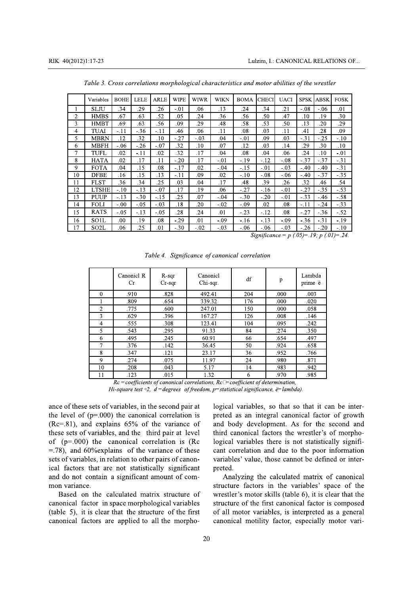|                | Variables    | BOHE    | LELE    | ARLE   | <b>WIPE</b> | WIWR   | WIKN   | <b>BOMA</b> | CHECI  | <b>UACI</b> | <b>SPSK</b> | <b>ABSK</b> | <b>FOSK</b> |
|----------------|--------------|---------|---------|--------|-------------|--------|--------|-------------|--------|-------------|-------------|-------------|-------------|
| -1             | SLJU         | .34     | .29     | .26    | $-.01$      | .06    | .13    | .24         | .34    | .21         | $-.08$      | $-06$       | .01         |
| $\overline{2}$ | <b>HMBS</b>  | .67     | .63     | .52    | .05         | .24    | .36    | .56         | .50    | .47         | .10         | .19         | .30         |
| 3              | <b>HMBT</b>  | .69     | .63     | .56    | .09         | .29    | .48    | .58         | .53    | .50         | .13         | .20         | .29         |
| 4              | TUAI         | -.11    | $-36$   | -.11   | .46         | .06    | .11    | .08         | .03    | .11         | .41         | .28         | .09         |
| 5              | MBRN         | .12     | .32     | .10    | $-.27$      | $-.03$ | .04    | $-.01$      | .09    | .03         | $-.31$      | $-0.25$     | $-.10$      |
| 6              | <b>MBFH</b>  | -.06    | $-0.26$ | $-.07$ | .32         | .10    | .07    | .12         | .03    | .14         | .29         | .30         | .10         |
| 7              | TUFL         | .02     | $-11$   | .02    | .32         | .17    | .04    | .08         | .04    | .06         | .24         | .10         | $-.01$      |
| 8              | <b>HATA</b>  | .02     | .17     | .11    | $-.20$      | .17    | $-.01$ | $-.19$      | $-.12$ | $-.08$      | $-.37$      | $-.37$      | $-.31$      |
| 9              | <b>FOTA</b>  | .04     | .15     | .08    | $-.17$      | .02    | $-.04$ | $-.15$      | $-.01$ | $-.03$      | $-.40$      | $-.40$      | $-31$       |
| 10             | <b>DFBE</b>  | .16     | .15     | .13    | -.11        | .09    | .02    | $-.10$      | $-.08$ | $-.06$      | $-.40$      | $-37$       | $-.35$      |
| 11             | <b>FLST</b>  | .36     | .34     | .25    | .03         | .04    | .17    | .48         | .39    | .26         | .32         | .46         | .54         |
| 12             | <b>LTSHE</b> | $-.10$  | $-13$   | -.07   | .17         | .19    | .06    | $-.27$      | $-.16$ | $-.01$      | $-.27$      | $-.35$      | $-.53$      |
| 13             | <b>PUUP</b>  | $-13$   | $-.30$  | $-15$  | .25         | .07    | $-.04$ | $-.30$      | $-.20$ | $-.01$      | $-.33$      | -.46        | $-.58$      |
| 14             | <b>FOLI</b>  | $-.00.$ | $-.05$  | $-.03$ | .18         | .20    | $-.02$ | $-.09$      | .02    | .08         | -.11        | $-.24$      | $-.33$      |
| 15             | <b>RATS</b>  | $-.05$  | $-.13$  | $-.05$ | .28         | .24    | .01    | $-.23$      | $-.12$ | .08         | $-.27$      | $-.36$      | $-.52$      |
| 16             | SO1L         | .00     | .19     | .08    | $-0.29$     | .01    | $-.09$ | $-.16$      | $-.13$ | $-.09$      | $-.36$      | $-31$       | $-.19$      |
| 17             | SO2L         | .06     | .25     | .01    | $-.30$      | -.02   | $-.03$ | $-.06$      | $-.06$ | $-.03$      | $-.26$      | $-.20$      | $-.10$      |

Table 3. Cross correlations morphological characteristics and motor abilities of the wrestler

Significance =  $p(.05)=.19; p(.01)=.24$ .

|                | Canonicl R<br>Сr | R-sqr<br>$Cr$ -sqr | Canonicl<br>Chi-sqr. | df  | p    | Lambda<br>prime ë |
|----------------|------------------|--------------------|----------------------|-----|------|-------------------|
| $\Omega$       | .910             | .828               | 492.41               | 204 | .000 | .003              |
|                | .809             | .654               | 339.32               | 176 | .000 | .020              |
| $\overline{c}$ | .775             | .600               | 247.01               | 150 | .000 | .058              |
| 3              | .629             | .396               | 167.27               | 126 | .008 | .146              |
| 4              | .555             | .308               | 123.41               | 104 | .095 | .242              |
| 5              | .543             | .295               | 91.33                | 84  | .274 | .350              |
| 6              | .495             | .245               | 60.91                | 66  | .654 | .497              |
| $\overline{7}$ | .376             | .142               | 36.45                | 50  | .924 | .658              |
| 8              | .347             | .121               | 23.17                | 36  | .952 | .766              |
| 9              | .274             | .075               | 11.97                | 24  | .980 | .871              |
| 10             | .208             | .043               | 5.17                 | 14  | .983 | .942              |
| 11             | .123             | .015               | 1.32                 | 6   | .970 | .985              |

Table 4. Significance of canonical correlation

 $Rc = coefficients$  of canonical correlations,  $Rc \equiv coefficient$  of determination, Hi-square test  $\div 2$ ,  $d =$ degrees of freedom, p= statistical significance, ë=lambda).

ance of these sets of variables, in the second pair at the level of  $(p=000)$  the canonical correlation is  $(Re=.81)$ , and explains 65% of the variance of these sets of variables, and the third pair at level of  $(p=.000)$  the canonical correlation is (Rc  $=$  78), and 60% explains of the variance of these sets of variables, in relation to other pairs of canonical factors that are not statistically significant and do not contain a significant amount of common variance.

Based on the calculated matrix structure of canonical factor in space morphological variables (table 5), it is clear that the structure of the first canonical factors are applied to all the morphological variables, so that so that it can be interpreted as an integral canonical factor of growth and body development. As for the second and third canonical factors the wrestler's of morphological variables there is not statistically significant correlation and due to the poor information variables' value, those cannot be defined or interpreted.

Analyzing the calculated matrix of canonical structure factors in the variables' space of the wrestler's motor skills (table 6), it is clear that the structure of the first canonical factor is composed of all motor variables, is interpreted as a general canonical motility factor, especially motor vari-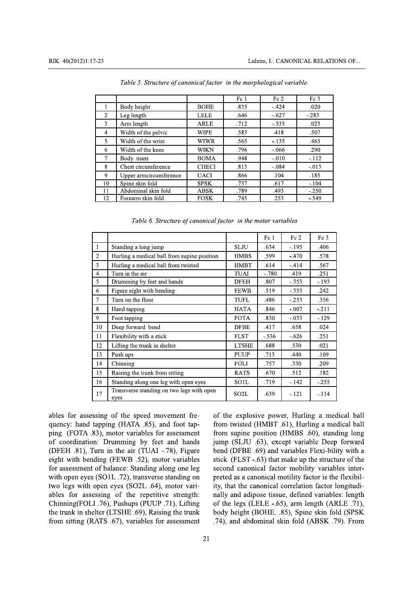|                |                        |              | Fc1  | Fc 2    | Fc 3     |
|----------------|------------------------|--------------|------|---------|----------|
| 1              | Body height            | <b>BOHE</b>  | .835 | $-424$  | .020     |
| $\overline{c}$ | Leg length             | <b>LELE</b>  | .646 | $-627$  | $-283$   |
| 3              | Arm length             | <b>ARLE</b>  | .712 | $-535$  | .023     |
| $\overline{4}$ | Width of the pelvic    | <b>WIPE</b>  | .583 | .418    | .507     |
| 5              | Width of the wrist     | <b>WIWR</b>  | .565 | $-135$  | .465     |
| 6              | Width of the knee      | <b>WIKN</b>  | .796 | $-.066$ | .290     |
| 7              | Body mass              | <b>BOMA</b>  | .948 | $-010$  | $-112$   |
| 8              | Chest circumference    | <b>CHECI</b> | .813 | $-0.84$ | $-0.013$ |
| 9              | Upper armcircumference | <b>UACI</b>  | .866 | .104    | .185     |
| 10             | Spine skin fold        | <b>SPSK</b>  | .737 | .617    | $-.104$  |
| 11             | Abdominal skin fold    | <b>ABSK</b>  | .789 | .493    | $-.250$  |
| 12             | Forearm skin fold      | <b>FOSK</b>  | .745 | .253    | $-.549$  |

Table 5. Structure of canonical factor in the morphological variable.

Table 6. Structure of canonical factor in the motor variables

|                |                                                   |                   | Fc1     | Fc2     | Fc3     |
|----------------|---------------------------------------------------|-------------------|---------|---------|---------|
| 1              | Standing a long jump                              | <b>SLJU</b>       | .634    | $-195$  | .406    |
| $\overline{c}$ | Hurling a medical ball from supine position       | <b>HMBS</b>       | .599    | $-.470$ | .578    |
| 3              | Hurling a medical ball from twisted               | <b>HMBT</b>       | .614    | $-.414$ | .567    |
| 4              | Turn in the air                                   | <b>TUAI</b>       | $-780$  | .419    | .251    |
| 5              | Drumming by feet and hands                        | <b>DFEH</b>       | .807    | $-353$  | $-193$  |
| 6              | Figure eight with bending                         | <b>FEWB</b>       | .519    | $-.353$ | .242    |
| 7              | Turn on the floor                                 | <b>TUFL</b>       | .486    | $-253$  | .356    |
| 8              | Hand tapping                                      | <b>HATA</b>       | .846    | $-.007$ | $-.211$ |
| 9              | Foot tapping                                      | <b>FOTA</b>       | .830    | $-.033$ | $-129$  |
| 10             | Deep forward bend                                 | <b>DFBE</b>       | .417    | .658    | .024    |
| 11             | Flexibility with a stick                          | <b>FLST</b>       | $-.536$ | $-.626$ | .251    |
| 12             | Lifting the trunk in shelter                      | <b>LTSHE</b>      | .688    | .530    | .021    |
| 13             | Push ups                                          | <b>PUUP</b>       | .713    | .440    | .109    |
| 14             | Chinning                                          | <b>FOLI</b>       | .757    | .330    | .209    |
| 15             | Raising the trunk from sitting                    | <b>RATS</b>       | .670    | .512    | .182    |
| 16             | Standing along one leg with open eyes             | SO <sub>1</sub> L | .719    | $-142$  | $-.255$ |
| 17             | Transverse standing on two legs with open<br>eyes | SO <sub>2</sub> L | .639    | $-121$  | $-.114$ |

ables for assessing of the speed movement frequency: hand tapping (HATA .85), and foot tapping (FOTA .83), motor variables for assessment of coordination: Drumming by feet and hands (DFEH .81), Turn in the air (TUAI -.78), Figure eight with bending (FEWB .52), motor variables for assessment of balance: Standing along one leg with open eyes (SO1L .72), transverse standing on two legs with open eyes (SO2L .64), motor variables for assessing of the repetitive strength: Chinning(FOLI .76), Pushups (PUUP .71), Lifting the trunk in shelter (LTSHE .69), Raising the trunk from sitting (RATS .67), variables for assessment of the explosive power, Hurling a medical ball from twisted (HMBT .61), Hurling a medical ball from supine position (HMBS .60), standing long jump (SLJU .63), except variable Deep forward bend (DFBE .69) and variables Flexi-bility with a stick (FLST -.63) that make up the structure of the second canonical factor mobility variables interpreted as a canonical motility factor is the flexibility, that the canonical correlation factor longitudinally and adipose tissue, defined variables: length of the legs (LELE -.65), arm length (ARLE .71), body height (BOHE. .85), Spine skin fold (SPSK .74), and abdominal skin fold (ABSK .79). From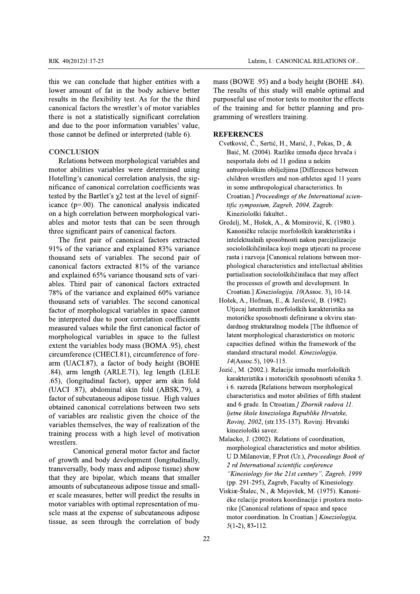this we can conclude that higher entities with a lower amount of fat in the body achieve better results in the flexibility test. As for the the third canonical factors the wrestler's of motor variables there is not a statistically significant correlation and due to the poor information variables' value, those cannot be defined or interpreted (table 6).

### **CONCLUSION**

Relations between morphological variables and motor abilities variables were determined using Hotelling's canonical correlation analysis, the significance of canonical correlation coefficients was tested by the Bartlet's  $\chi$ 2 test at the level of significance  $(p=00)$ . The canonical analysis indicated on a high correlation between morphological variables and motor tests that can be seen through three significant pairs of canonical factors.

The first pair of canonical factors extracted 91% of the variance and explained 83% variance thousand sets of variables. The second pair of canonical factors extracted 81% of the variance and explained 65% variance thousand sets of variables. Third pair of canonical factors extracted 78% of the variance and explained 60% variance thousand sets of variables. The second canonical factor of morphological variables in space cannot be interpreted due to poor correlation coefficients measured values while the first canonical factor of morphological variables in space to the fullest extent the variables body mass (BOMA .95), chest circumference (CHECI.81), circumference of forearm (UACI.87), a factor of body height (BOHE .84), arm length (ARLE.71), leg length (LELE .65), (longitudinal factor), upper arm skin fold (UACI .87), abdominal skin fold (ABSK.79), a factor of subcutaneous adipose tissue. High values obtained canonical correlations between two sets of variables are realistic given the choice of the variables themselves, the way of realization of the training process with a high level of motivation wrestlers.

Canonical general motor factor and factor of growth and body development (longitudinally, transversally, body mass and adipose tissue) show that they are bipolar, which means that smaller amounts of subcutaneous adipose tissue and smaller scale measures, better will predict the results in motor variables with optimal representation of muscle mass at the expense of subcutaneous adipose tissue, as seen through the correlation of body

mass (BOWE .95) and a body height (BOHE .84). The results of this study will enable optimal and purposeful use of motor tests to monitor the effects of the training and for better planning and programming of wrestlers training.

### **REFERENCES**

- Cvetković, Č., Sertić, H., Marić, J., Pekas, D., & Baić, M. (2004). Razlike između djece hrvača i nesportaša dobi od 11 godina u nekim antropološkim obilježjima [Differences between children wrestlers and non-athletes aged 11 years in some anthropological characteristics. In Croatian.] Proceedings of the International scientific symposium, Zagreb, 2004, Zagreb: Kineziološki fakultet..
- Gredelj, M., Hošek, A., & Momirović, K. (1980.). Kanoničke relacije morfoloških karakteristika i intelektualnih sposobnosti nakon parcijalizacije sociološkihčinilaca koji mogu utjecati na procese rasta i razvoja [Canonical relations between morphological characteristics and intellectual abilities partialisation sociološkihčinilaca that may affect the processes of growth and development. In Croatian.] Kineziologija, 10(Assoc. 3), 10-14.
- Hošek, A., Hofman, E., & Jeričević, B. (1982). Utjecaj latentnih morfoloških karakteristika na motoričke sposobnosti definirane u okviru standardnog strukturalnog modela [The ihfluence of latent morphological charasteristics on motoric capacities defined within the framework of the standard structural model. Kineziologija. 14(Assoc.5), 109-115.
- Jozić., M. (2002.). Relacije između morfoloških karakteristika i motoričkih sposobnosti učenika 5. i 6. razreda [Relations between morphological characteristics and motor abilities of fifth student and 6 grade. In Ctroatian.] Zbornik radova 11. ljetne škole kineziologa Republike Hrvatske, Rovinj, 2002, (str.135-137). Rovinj: Hrvatski kineziološki savez.
- Malacko, J. (2002). Relations of coordination, morphological characteristics and motor abilities. U D.Milanoviæ, F.Prot (Ur.), Proceedings Book of 2 rd International scientific conference "Kinesiology for the 21st century", Zagreb, 1999 (pp. 291-295), Zagreb, Faculty of Kinesiology.
- Viskiæ-Štalec, N., & Mejovšek, M. (1975). Kanonièke relacije prostora koordinacije i prostora motorike [Canonical relations of space and space motor coordination. In Croatian.] Kineziologija,  $5(1-2), 83-112.$